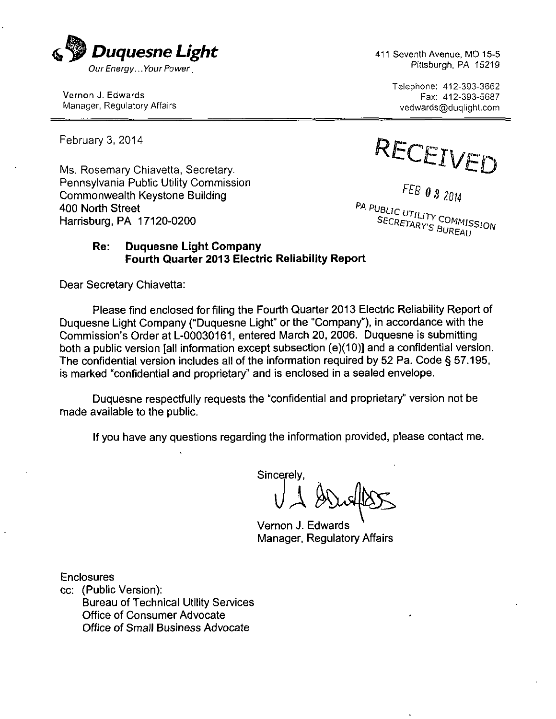

Vernon J. Edwards Fax: 412-393-5687<br>Manager, Regulatory Affairs Fax: 412-393-5687

February 3, 2014

Pennsylvania Public Utility Commission FEB  $\theta$  3  $2014$ Commonwealth Keystone Building 400 North Street USHIMATHER STREET<br>400 North Street<br>Harrisburg, PA 17120-0200

Telephone: 412-393-3662 vedwards@duqlight.com

February 3, 2014<br>Ms. Rosemary Chiavetta, Secretary.  $\mathsf{L}\mathsf{L}\mathsf{L}\mathsf{L}$ 

SECRETARY'S BUREAU

#### **Re: Duquesne Light Company Fourth Quarter 2013 Electric Reliability Report**

Dear Secretary Chiavetta:

Please find enclosed for filing the Fourth Quarter 2013 Electric Reliability Report of Duquesne Light Company ("Duquesne Light" or the "Company"), in accordance with the Commission's Order at L-00030161, entered March 20, 2006. Duquesne is submitting both a public version [all information except subsection (e)(10)] and a confidential version. The confidential version includes all of the information required by 52 Pa. Code § 57.195, is marked "confidential and proprietary" and is enclosed in a sealed envelope.

Duquesne respectfully requests the "confidential and proprietary" version not be made available to the public.

If you have any questions regarding the information provided, please contact me.

Sincerely,  $\bigcup$ 

Vernon J. Edwards Manager, Regulatory Affairs

Enclosures

cc: (Public Version): Bureau of Technical Utility Services Office of Consumer Advocate Office of Small Business Advocate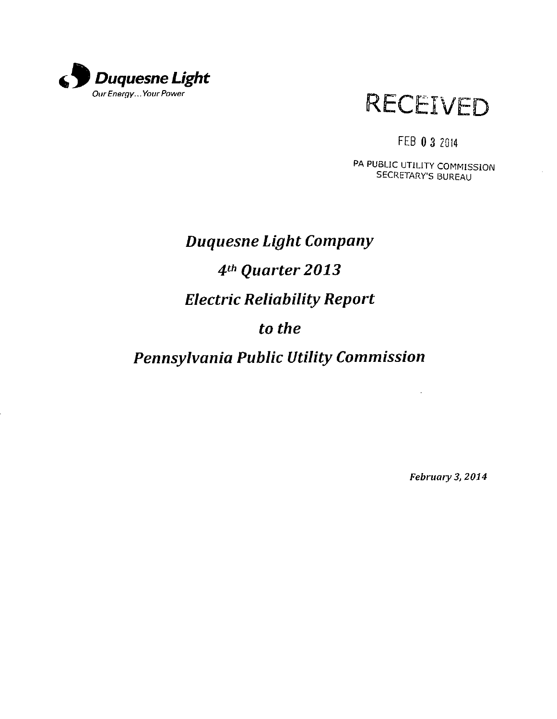

# **RECEIVED**

## FEB 0 3 Z014

PA PUBLIC UTILITY COMMISSION SECRETARY'S BUREAU

# *Duquesne Light Company 4 th Quarter 2013 Electric Reliability Report to the*

## *Pennsylvania Public Utility Commission*

February 3, 2014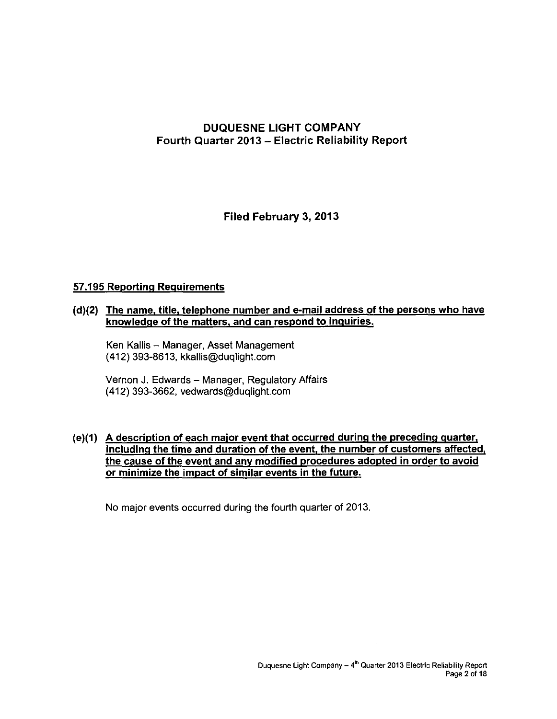#### **DUQUESNE UGHT COMPANY Fourth Quarter 2013 - Electric Reliability Report**

**Filed February 3, 2013** 

#### **57.195 Reporting Requirements**

#### **(d)(2) The name, title, telephone number and e-mail address of the persons who have knowledge of the matters, and can respond to inquiries.**

Ken Kallis - Manager, Asset Management (412) 393-8613, kkallis@duqlight.com

Vernon J. Edwards - Manager, Regulatory Affairs (412) 393-3662, vedwards@duqlight.com

#### **(e)(1) A description of each maior event that occurred during the preceding quarter, including the time and duration of the event, the number of customers affected, the cause of the event and anv modified procedures adopted in order to avoid or minimize the impact of similar events in the future.**

No major events occurred during the fourth quarter of 2013.

 $\overline{a}$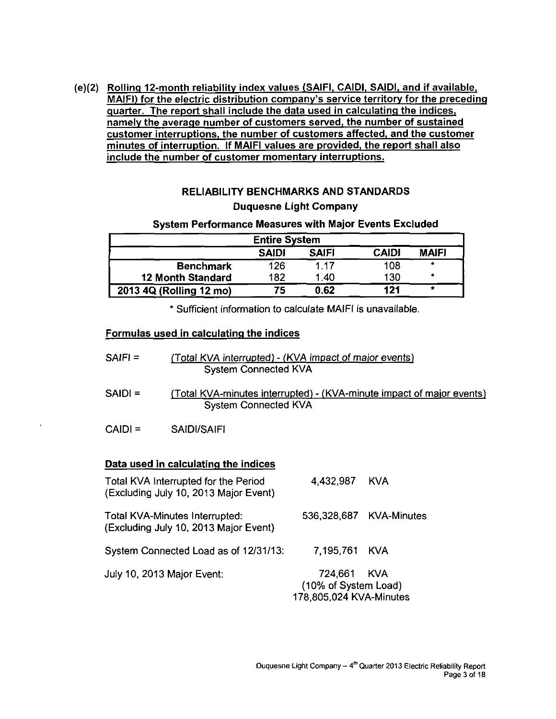**(e)(2) Rolling 12-month reliability index values (SAIFI. CAIDI. SAIDI, and if available. MAIFI) for the electric distribution company's service territory for the preceding quarter. The report shall include the data used in calculating the indices, namely the average number of customers served, the number of sustained customer interruptions, the number of customers affected, and the customer minutes of interruption. If MAIFI values are provided, the report shall also include the number of customer momentary interruptions.** 

#### **RELIABILITY BENCHMARKS AND STANDARDS Duquesne Light Company**

#### **System Performance Measures with Major Events Excluded**

| <b>Entire System</b>     |              |                   |              |              |  |  |  |  |
|--------------------------|--------------|-------------------|--------------|--------------|--|--|--|--|
|                          | <b>SAIDI</b> | <b>SAIFI</b>      | <b>CAIDI</b> | <b>MAIFI</b> |  |  |  |  |
| <b>Benchmark</b>         | 126          | 1.17              | 108          | ۰            |  |  |  |  |
| <b>12 Month Standard</b> | 182          | 1.40 <sub>1</sub> | 130          | $\star$      |  |  |  |  |
| 2013 4Q (Rolling 12 mo)  | 75           | 0.62              | 121          | *            |  |  |  |  |

**\* Sufficient information to calculate MAIFI is unavailable.** 

#### **Formulas used in calculating the indices**

| SAIFI = | (Total KVA interrupted) - (KVA impact of major events) |
|---------|--------------------------------------------------------|
|         | System Connected KVA                                   |

- SAIDI = (Total KVA-minutes interrupted) (KVA-minute impact of major events) System Connected KVA
- CAIDI = SAIDI/SAIFI

#### **Data used in calculating the indices**

| Total KVA Interrupted for the Period<br>(Excluding July 10, 2013 Major Event) | 4,432,987                                                      | <b>KVA</b>              |
|-------------------------------------------------------------------------------|----------------------------------------------------------------|-------------------------|
| Total KVA-Minutes Interrupted:<br>(Excluding July 10, 2013 Major Event)       |                                                                | 536,328,687 KVA-Minutes |
| System Connected Load as of 12/31/13:                                         | 7.195,761 KVA                                                  |                         |
| July 10, 2013 Major Event:                                                    | 724,661 KVA<br>(10% of System Load)<br>178,805,024 KVA-Minutes |                         |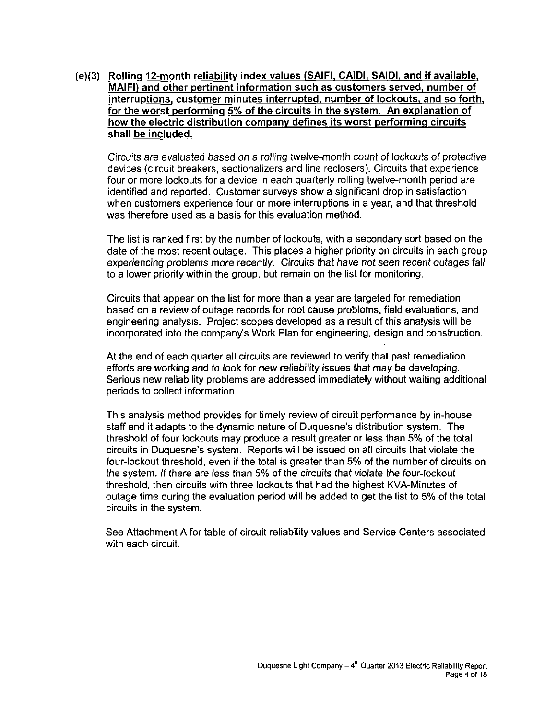(e)(3) Rolling 12-month reliability index values (SAIFI, CAIDI, SAIDI, and if available. MAIFI) and other pertinent information such as customers served, number of interruptions, customer minutes interrupted, number of lockouts, and so forth, for the worst performing 5% of the circuits in the system. An explanation of how the electric distribution companv defines its worst performing circuits shall be included.

Circuits are evaluated based on a rolling twelve-month count of lockouts of protective devices (circuit breakers, sectionalizers and line reclosers). Circuits that experience four or more lockouts for a device in each quarterly rolling twelve-month period are identified and reported. Customer surveys show a significant drop in satisfaction when customers experience four or more interruptions in a year, and that threshold was therefore used as a basis for this evaluation method.

The list is ranked first by the number of lockouts, with a secondary sort based on the date of the most recent outage. This places a higher priority on circuits in each group experiencing problems more recently. Circuits that have not seen recent outages fall to a lower priority within the group, but remain on the list for monitoring.

Circuits that appear on the list for more than a year are targeted for remediation based on a review of outage records for root cause problems, field evaluations, and engineering analysis. Project scopes developed as a result of this analysis will be incorporated into the company's Work Plan for engineering, design and construction.

At the end of each quarter all circuits are reviewed to verify that past remediation efforts are working and to look for new reliability issues that may be developing. Serious new reliability problems are addressed immediately without waiting additional periods to collect information.

This analysis method provides for timely review of circuit performance by in-house staff and it adapts to the dynamic nature of Duquesne's distribution system. The threshold of four lockouts may produce a result greater or less than 5% of the total circuits in Duquesne's system. Reports will be issued on all circuits that violate the four-lockout threshold, even if the total is greater than 5% of the number of circuits on the system. If there are less than 5% of the circuits that violate the four-lockout threshold, then circuits with three lockouts that had the highest KVA-Minutes of outage time during the evaluation period will be added to get the list to 5% of the total circuits in the system.

See Attachment A for table of circuit reliability values and Service Centers associated with each circuit.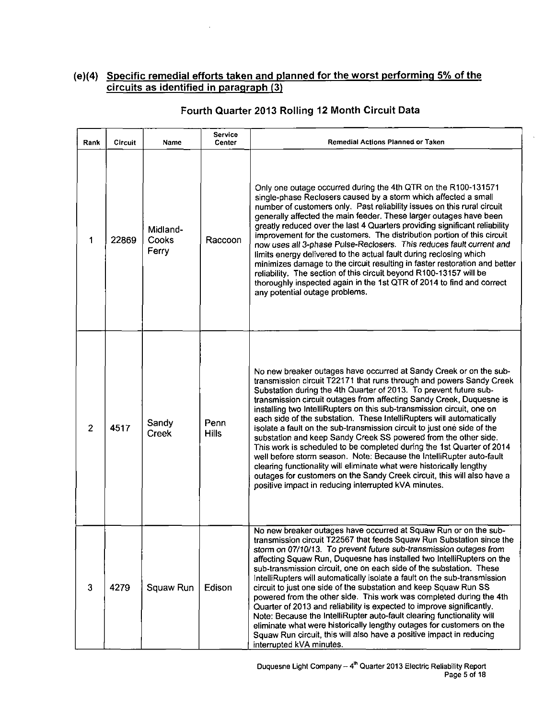#### **(e)(4) Specific remedial efforts taken and planned for the worst performing 5% of the circuits a s identified in paragraph (3)**

| Rank           | Circuit | Name                       | <b>Service</b><br>Center | <b>Remedial Actions Planned or Taken</b>                                                                                                                                                                                                                                                                                                                                                                                                                                                                                                                                                                                                                                                                                                                                                                                                                                                                                                            |  |  |
|----------------|---------|----------------------------|--------------------------|-----------------------------------------------------------------------------------------------------------------------------------------------------------------------------------------------------------------------------------------------------------------------------------------------------------------------------------------------------------------------------------------------------------------------------------------------------------------------------------------------------------------------------------------------------------------------------------------------------------------------------------------------------------------------------------------------------------------------------------------------------------------------------------------------------------------------------------------------------------------------------------------------------------------------------------------------------|--|--|
| 1              | 22869   | Midland-<br>Cooks<br>Ferry | Raccoon                  | Only one outage occurred during the 4th QTR on the R100-131571<br>single-phase Reclosers caused by a storm which affected a small<br>number of customers only. Past reliability issues on this rural circuit<br>generally affected the main feeder. These larger outages have been<br>greatly reduced over the last 4 Quarters providing significant reliability<br>improvement for the customers. The distribution portion of this circuit<br>now uses all 3-phase Pulse-Reclosers. This reduces fault current and<br>limits energy delivered to the actual fault during reclosing which<br>minimizes damage to the circuit resulting in faster restoration and better<br>reliability. The section of this circuit beyond R100-13157 will be<br>thoroughly inspected again in the 1st QTR of 2014 to find and correct<br>any potential outage problems.                                                                                            |  |  |
| $\overline{2}$ | 4517    | Sandy<br><b>Creek</b>      | Penn<br><b>Hills</b>     | No new breaker outages have occurred at Sandy Creek or on the sub-<br>transmission circuit T22171 that runs through and powers Sandy Creek<br>Substation during the 4th Quarter of 2013. To prevent future sub-<br>transmission circuit outages from affecting Sandy Creek, Duquesne is<br>installing two IntelliRupters on this sub-transmission circuit, one on<br>each side of the substation. These IntelliRupters will automatically<br>isolate a fault on the sub-transmission circuit to just one side of the<br>substation and keep Sandy Creek SS powered from the other side.<br>This work is scheduled to be completed during the 1st Quarter of 2014<br>well before storm season. Note: Because the IntelliRupter auto-fault<br>clearing functionality will eliminate what were historically lengthy<br>outages for customers on the Sandy Creek circuit, this will also have a<br>positive impact in reducing interrupted kVA minutes. |  |  |
| 3              | 4279    | Squaw Run                  | Edison                   | No new breaker outages have occurred at Squaw Run or on the sub-<br>transmission circuit T22567 that feeds Squaw Run Substation since the<br>storm on 07/10/13. To prevent future sub-transmission outages from<br>affecting Squaw Run, Duquesne has installed two IntelliRupters on the<br>sub-transmission circuit, one on each side of the substation. These<br>IntelliRupters will automatically isolate a fault on the sub-transmission<br>circuit to just one side of the substation and keep Squaw Run SS<br>powered from the other side. This work was completed during the 4th<br>Quarter of 2013 and reliability is expected to improve significantly.<br>Note: Because the IntelliRupter auto-fault clearing functionality will<br>eliminate what were historically lengthy outages for customers on the<br>Squaw Run circuit, this will also have a positive impact in reducing<br>interrupted kVA minutes.                             |  |  |

#### **Fourth Quarter 2013 Rolling 12 Month Circuit Data**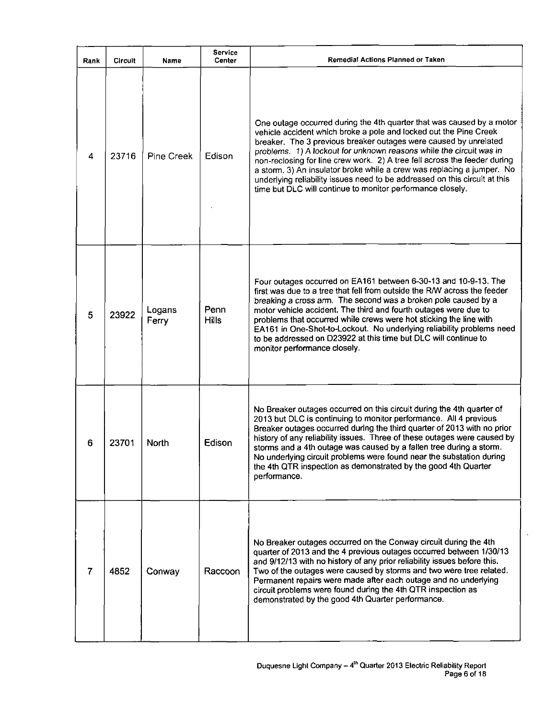| Rank           | Circuit | Name            | Service<br><b>Center</b> | Remedial Actions Planned or Taken                                                                                                                                                                                                                                                                                                                                                                                                                                                                                                                                                        |
|----------------|---------|-----------------|--------------------------|------------------------------------------------------------------------------------------------------------------------------------------------------------------------------------------------------------------------------------------------------------------------------------------------------------------------------------------------------------------------------------------------------------------------------------------------------------------------------------------------------------------------------------------------------------------------------------------|
| 4              | 23716   | Pine Creek      | Edison                   | One outage occurred during the 4th quarter that was caused by a motor<br>vehicle accident which broke a pole and locked out the Pine Creek<br>breaker. The 3 previous breaker outages were caused by unrelated<br>problems. 1) A lockout for unknown reasons while the circuit was in<br>non-reclosing for line crew work. 2) A tree fell across the feeder during<br>a storm. 3) An insulator broke while a crew was replacing a jumper. No<br>underlying reliability issues need to be addressed on this circuit at this<br>time but DLC will continue to monitor performance closely. |
| 5              | 23922   | Logans<br>Ferry | Penn<br><b>Hills</b>     | Four outages occurred on EA161 between 6-30-13 and 10-9-13. The<br>first was due to a tree that fell from outside the R/W across the feeder<br>breaking a cross arm. The second was a broken pole caused by a<br>motor vehicle accident. The third and fourth outages were due to<br>problems that occurred while crews were hot sticking the line with<br>EA161 in One-Shot-to-Lockout. No underlying reliability problems need<br>to be addressed on D23922 at this time but DLC will continue to<br>monitor performance closely.                                                      |
| 6              | 23701   | North           | Edison                   | No Breaker outages occurred on this circuit during the 4th quarter of<br>2013 but DLC is continuing to monitor performance. All 4 previous<br>Breaker outages occurred during the third quarter of 2013 with no prior<br>history of any reliability issues. Three of these outages were caused by<br>storms and a 4th outage was caused by a fallen tree during a storm.<br>No underlying circuit problems were found near the substation during<br>the 4th QTR inspection as demonstrated by the good 4th Quarter<br>performance.                                                       |
| $\overline{7}$ | 4852    | Conway          | Raccoon                  | No Breaker outages occurred on the Conway circuit during the 4th<br>quarter of 2013 and the 4 previous outages occurred between 1/30/13<br>and 9/12/13 with no history of any prior reliability issues before this.<br>Two of the outages were caused by storms and two were tree related.<br>Permanent repairs were made after each outage and no underlying<br>circuit problems were found during the 4th QTR inspection as<br>demonstrated by the good 4th Quarter performance.                                                                                                       |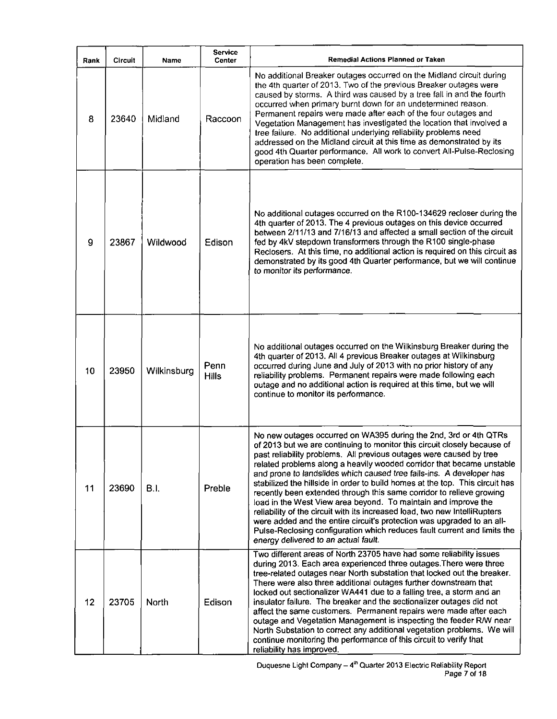| Rank | <b>Circuit</b> | Name        | <b>Service</b><br>Center | <b>Remedial Actions Planned or Taken</b>                                                                                                                                                                                                                                                                                                                                                                                                                                                                                                                                                                                                                                                                                                                                                                                                                                   |
|------|----------------|-------------|--------------------------|----------------------------------------------------------------------------------------------------------------------------------------------------------------------------------------------------------------------------------------------------------------------------------------------------------------------------------------------------------------------------------------------------------------------------------------------------------------------------------------------------------------------------------------------------------------------------------------------------------------------------------------------------------------------------------------------------------------------------------------------------------------------------------------------------------------------------------------------------------------------------|
| 8    | 23640          | Midland     | Raccoon                  | No additional Breaker outages occurred on the Midland circuit during<br>the 4th quarter of 2013. Two of the previous Breaker outages were<br>caused by storms. A third was caused by a tree fall in and the fourth<br>occurred when primary burnt down for an undetermined reason.<br>Permanent repairs were made after each of the four outages and<br>Vegetation Management has investigated the location that involved a<br>tree failure. No additional underlying reliability problems need<br>addressed on the Midland circuit at this time as demonstrated by its<br>good 4th Quarter performance. All work to convert All-Pulse-Reclosing<br>operation has been complete.                                                                                                                                                                                           |
| 9    | 23867          | Wildwood    | Edison                   | No additional outages occurred on the R100-134629 recloser during the<br>4th quarter of 2013. The 4 previous outages on this device occurred<br>between 2/11/13 and 7/16/13 and affected a small section of the circuit<br>fed by 4kV stepdown transformers through the R100 single-phase<br>Reclosers. At this time, no additional action is required on this circuit as<br>demonstrated by its good 4th Quarter performance, but we will continue<br>to monitor its performance.                                                                                                                                                                                                                                                                                                                                                                                         |
| 10   | 23950          | Wilkinsburg | Penn<br><b>Hills</b>     | No additional outages occurred on the Wilkinsburg Breaker during the<br>4th quarter of 2013. All 4 previous Breaker outages at Wilkinsburg<br>occurred during June and July of 2013 with no prior history of any<br>reliability problems. Permanent repairs were made following each<br>outage and no additional action is required at this time, but we will<br>continue to monitor its performance.                                                                                                                                                                                                                                                                                                                                                                                                                                                                      |
| 11   | 23690          | B.I.        | Preble                   | No new outages occurred on WA395 during the 2nd, 3rd or 4th QTRs<br>of 2013 but we are continuing to monitor this circuit closely because of<br>past reliability problems. All previous outages were caused by tree<br>related problems along a heavily wooded corridor that became unstable<br>and prone to landslides which caused tree falls-ins. A developer has<br>stabilized the hillside in order to build homes at the top. This circuit has<br>recently been extended through this same corridor to relieve growing<br>load in the West View area beyond. To maintain and improve the<br>reliability of the circuit with its increased load, two new IntelliRupters<br>were added and the entire circuit's protection was upgraded to an all-<br>Pulse-Reclosing configuration which reduces fault current and limits the<br>energy delivered to an actual fault. |
| 12   | 23705          | North       | Edison                   | Two different areas of North 23705 have had some reliability issues<br>during 2013. Each area experienced three outages. There were three<br>tree-related outages near North substation that locked out the breaker.<br>There were also three additional outages further downstream that<br>locked out sectionalizer WA441 due to a falling tree, a storm and an<br>insulator failure. The breaker and the sectionalizer outages did not<br>affect the same customers. Permanent repairs were made after each<br>outage and Vegetation Management is inspecting the feeder R/W near<br>North Substation to correct any additional vegetation problems. We will<br>continue monitoring the performance of this circuit to verify that<br>reliability has improved.                                                                                                          |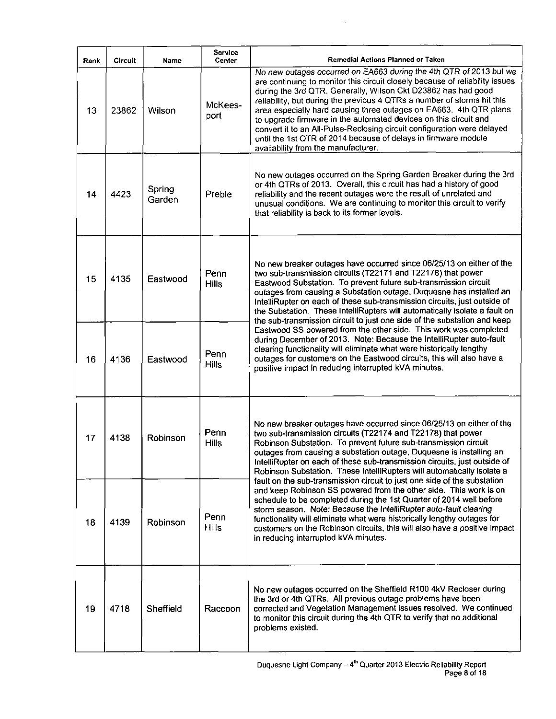| Rank | <b>Circuit</b> | Name             | <b>Service</b><br>Center | Remedial Actions Planned or Taken                                                                                                                                                                                                                                                                                                                                                                                                                                                                                                                                                                                            |
|------|----------------|------------------|--------------------------|------------------------------------------------------------------------------------------------------------------------------------------------------------------------------------------------------------------------------------------------------------------------------------------------------------------------------------------------------------------------------------------------------------------------------------------------------------------------------------------------------------------------------------------------------------------------------------------------------------------------------|
| 13   | 23862          | Wilson           | McKees-<br>port          | No new outages occurred on EA663 during the 4th QTR of 2013 but we<br>are continuing to monitor this circuit closely because of reliability issues<br>during the 3rd QTR. Generally, Wilson Ckt D23862 has had good<br>reliability, but during the previous 4 QTRs a number of storms hit this<br>area especially hard causing three outages on EA663. 4th QTR plans<br>to upgrade firmware in the automated devices on this circuit and<br>convert it to an All-Pulse-Reclosing circuit configuration were delayed<br>until the 1st OTR of 2014 because of delays in firmware module<br>availability from the manufacturer. |
| 14   | 4423           | Spring<br>Garden | Preble                   | No new outages occurred on the Spring Garden Breaker during the 3rd<br>or 4th QTRs of 2013. Overall, this circuit has had a history of good<br>reliability and the recent outages were the result of unrelated and<br>unusual conditions. We are continuing to monitor this circuit to verify<br>that reliability is back to its former levels.                                                                                                                                                                                                                                                                              |
| 15   | 4135           | Eastwood         | Penn<br><b>Hills</b>     | No new breaker outages have occurred since 06/25/13 on either of the<br>two sub-transmission circuits (T22171 and T22178) that power<br>Eastwood Substation. To prevent future sub-transmission circuit<br>outages from causing a Substation outage, Duquesne has installed an<br>IntelliRupter on each of these sub-transmission circuits, just outside of<br>the Substation. These IntelliRupters will automatically isolate a fault on<br>the sub-transmission circuit to just one side of the substation and keep                                                                                                        |
| 16   | 4136           | Eastwood         | Penn<br><b>Hills</b>     | Eastwood SS powered from the other side. This work was completed<br>during December of 2013. Note: Because the IntelliRupter auto-fault<br>clearing functionality will eliminate what were historically lengthy<br>outages for customers on the Eastwood circuits, this will also have a<br>positive impact in reducing interrupted kVA minutes.                                                                                                                                                                                                                                                                             |
| 17   | 4138           | Robinson         | Penn<br><b>Hills</b>     | No new breaker outages have occurred since 06/25/13 on either of the<br>two sub-transmission circuits (T22174 and T22178) that power<br>Robinson Substation. To prevent future sub-transmission circuit<br>outages from causing a substation outage, Duquesne is installing an<br>IntelliRupter on each of these sub-transmission circuits, just outside of<br>Robinson Substation. These IntelliRupters will automatically isolate a                                                                                                                                                                                        |
| 18   | 4139           | Robinson         | Penn<br><b>Hills</b>     | fault on the sub-transmission circuit to just one side of the substation<br>and keep Robinson SS powered from the other side. This work is on<br>schedule to be completed during the 1st Quarter of 2014 well before<br>storm season. Note: Because the IntelliRupter auto-fault clearing<br>functionality will eliminate what were historically lengthy outages for<br>customers on the Robinson circuits, this will also have a positive impact<br>in reducing interrupted kVA minutes.                                                                                                                                    |
| 19   | 4718           | Sheffield        | Raccoon                  | No new outages occurred on the Sheffield R100 4kV Recloser during<br>the 3rd or 4th QTRs. All previous outage problems have been<br>corrected and Vegetation Management issues resolved. We continued<br>to monitor this circuit during the 4th QTR to verify that no additional<br>problems existed.                                                                                                                                                                                                                                                                                                                        |

l.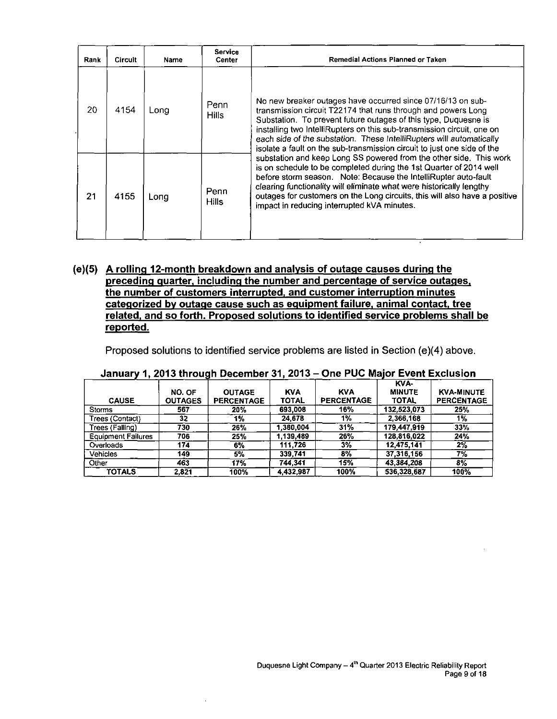| Rank | <b>Circuit</b> | Name | <b>Service</b><br>Center | Remedial Actions Planned or Taken                                                                                                                                                                                                                                                                                                                                                                                            |
|------|----------------|------|--------------------------|------------------------------------------------------------------------------------------------------------------------------------------------------------------------------------------------------------------------------------------------------------------------------------------------------------------------------------------------------------------------------------------------------------------------------|
| 20   | 4154           | Lona | Penn<br><b>Hills</b>     | No new breaker outages have occurred since 07/16/13 on sub-<br>transmission circuit T22174 that runs through and powers Long<br>Substation. To prevent future outages of this type, Duquesne is<br>installing two IntelliRupters on this sub-transmission circuit, one on<br>each side of the substation. These IntelliRupters will automatically<br>isolate a fault on the sub-transmission circuit to just one side of the |
| 21   | 4155           | Long | Penn<br><b>Hills</b>     | substation and keep Long SS powered from the other side. This work<br>is on schedule to be completed during the 1st Quarter of 2014 well<br>before storm season. Note: Because the IntelliRupter auto-fault<br>clearing functionality will eliminate what were historically lengthy<br>outages for customers on the Long circuits, this will also have a positive<br>impact in reducing interrupted kVA minutes.             |

#### **(e)(5) A rolling 12-month breakdown and analysis of outage causes during the preceding guarter, including the number and percentage of service outages, the number of customers interrupted, and customer interruption minutes categorized bv outage cause such as eguipment failure, animal contact, tree related, and so forth. Proposed solutions to identified service problems shall be reported.**

Proposed solutions to identified service problems are listed in Section (e)(4) above.

| <b>CAUSE</b>              | NO. OF           | <b>OUTAGE</b>     | <b>KVA</b>   | <b>KVA</b><br><b>PERCENTAGE</b> | KVA-<br><b>MINUTE</b><br><b>TOTAL</b> | <b>KVA-MINUTE</b> |
|---------------------------|------------------|-------------------|--------------|---------------------------------|---------------------------------------|-------------------|
|                           | <b>OUTAGES</b>   | <b>PERCENTAGE</b> | <b>TOTAL</b> |                                 |                                       | <b>PERCENTAGE</b> |
| <b>Storms</b>             | 567              | 20%               | 693.008      | 16%                             | 132.523,073                           | 25%               |
| Trees (Contact)           | 32               | 1%                | 24.678       | $1\%$                           | 2,366,168                             | $1\%$             |
| Trees (Falling)           | 730              | 26%               | 1.380.004    | 31%                             | 179,447.919                           | 33%               |
| <b>Equipment Failures</b> | 706              | 25%               | 1.139.489    | 26%                             | 128.816.022                           | 24%               |
| Overloads                 | 174              | 6%                | 111,726      | 3%                              | 12,475,141                            | $2\%$             |
| <b>Vehicles</b>           | 149              | 5%                | 339,741      | 8%                              | 37,316,156                            | $7\%$             |
| Other                     | $46\overline{3}$ | 17%               | 744.341      | 15%                             | 43,384,208                            | $3\%$             |
| <b>TOTALS</b>             | 2.821            | 100%              | 4,432,987    | 100%                            | 536,328,687                           | 100%              |

#### **January 1, 2013 through December 31, 2013-One PUC Major Event Exclusion**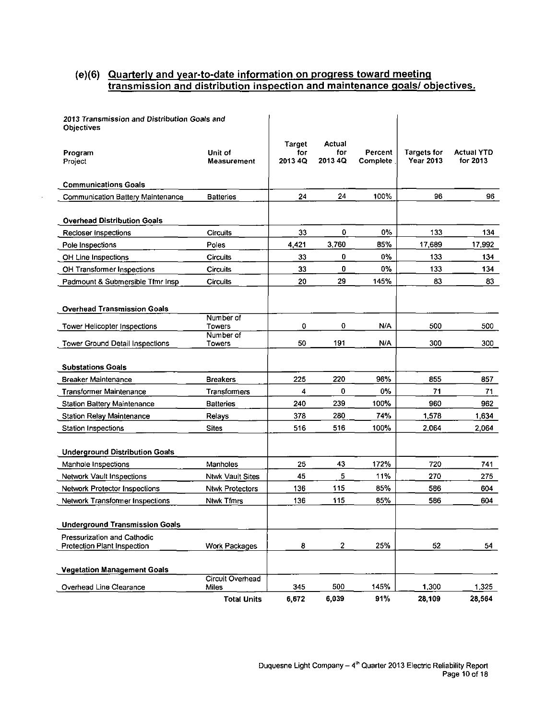#### **(e)(6) Quarterly and year-to-date information on progress toward meeting transmission and distribution inspection and maintenance goals/ objectives.**

| 2013 Transmission and Distribution Goals and<br><b>Objectives</b> |                         |                          |                          |                     |                                        |                               |
|-------------------------------------------------------------------|-------------------------|--------------------------|--------------------------|---------------------|----------------------------------------|-------------------------------|
| Program<br>Project                                                | Unit of<br>Measurement  | Target<br>for<br>2013 4Q | Actual<br>for<br>2013 4Q | Percent<br>Complete | <b>Targets for</b><br><b>Year 2013</b> | <b>Actual YTD</b><br>for 2013 |
| <b>Communications Goals</b>                                       |                         |                          |                          |                     |                                        |                               |
| Communication Battery Maintenance                                 | <b>Batteries</b>        | 24                       | 24                       | 100%                | 96                                     | 96                            |
| <b>Overhead Distribution Goals</b>                                |                         |                          |                          |                     |                                        |                               |
| Recloser Inspections                                              | <b>Circuits</b>         | 33                       | 0                        | 0%                  | 133                                    | 134                           |
| Pole Inspections                                                  | Poles                   | 4,421                    | 3.760                    | 85%                 | 17,689                                 | 17,992                        |
| OH Line Inspections                                               | <b>Circuits</b>         | 33                       | 0                        | 0%                  | 133                                    | 134                           |
| OH Transformer Inspections                                        | <b>Circuits</b>         | 33                       | 0                        | 0%                  | 133                                    | 134                           |
| Padmount & Submersible Tfmr Insp                                  | Circuits                | 20                       | 29                       | 145%                | 83                                     | 83                            |
| <b>Overhead Transmission Goals</b>                                |                         |                          |                          |                     |                                        |                               |
| Tower Helicopter Inspections                                      | Number of<br>Towers     | 0                        | 0                        | N/A                 | 500                                    | 500                           |
| Tower Ground Detail Inspections                                   | Number of<br>Towers     | 50                       | 191                      | N/A                 | 300                                    | 300                           |
| <b>Substations Goals</b>                                          |                         |                          |                          |                     |                                        |                               |
| <b>Breaker Maintenance</b>                                        | <b>Breakers</b>         | 225                      | 220                      | 98%                 | 855                                    | 857                           |
| <b>Transformer Maintenance</b>                                    | Transformers            | 4                        | 0                        | 0%                  | 71                                     | 71                            |
| <b>Station Battery Maintenance</b>                                | <b>Batteries</b>        | 240                      | 239                      | 100%                | 960                                    | 962.                          |
| <b>Station Relay Maintenance</b>                                  | Relays                  | 378                      | 280                      | 74%                 | 1,578                                  | 1,634                         |
| <b>Station Inspections</b>                                        | <b>Sites</b>            | 516                      | 516                      | 100%                | 2.064                                  | 2,064                         |
| <b>Underground Distribution Goals</b>                             |                         |                          |                          |                     |                                        |                               |
| Manhole Inspections                                               | Manholes                | 25                       | 43                       | 172%                | 720                                    | 741                           |
| <b>Network Vault Inspections</b>                                  | Ntwk Vault Sites        | 45                       | 5                        | 11%                 | 270                                    | 275                           |
| Network Protector Inspections                                     | <b>Ntwk Protectors</b>  | 136                      | 115                      | 85%                 | 586                                    | 604                           |
| <b>Network Transformer Inspections</b>                            | <b>Ntwk Tfmrs</b>       | 136                      | 115                      | 85%                 | 586                                    | 604                           |
| <b>Underground Transmission Goals</b>                             |                         |                          |                          |                     |                                        |                               |
| Pressurization and Cathodic<br>Protection Plant Inspection        | Work Packages           | 8                        | $\overline{\mathbf{2}}$  | 25%                 | 52                                     | 54                            |
| <b>Vegetation Management Goals</b>                                | <b>Circuit Overhead</b> |                          |                          |                     |                                        |                               |
| Overhead Line Clearance                                           | Miles                   | 345                      | 500                      | 145%                | 1,300                                  | 1,325                         |
|                                                                   | <b>Total Units</b>      | 6,672                    | 6,039                    | 91%                 | 28,109                                 | 28,564                        |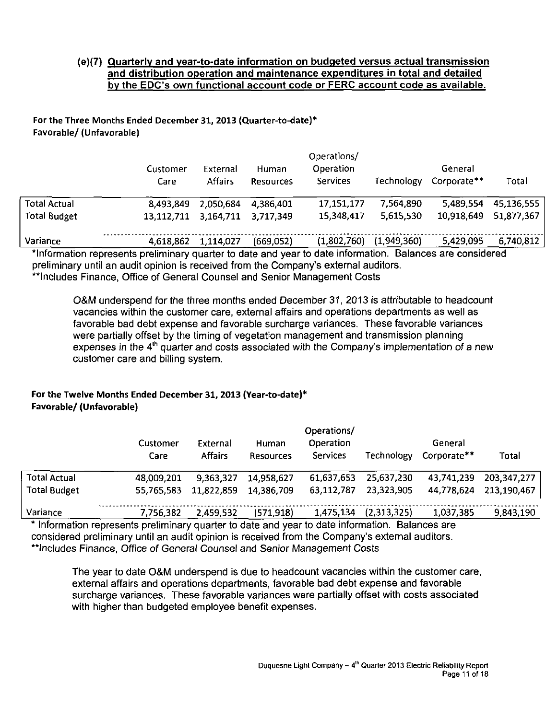#### (e){7) Quarterly and year-to-date information on budgeted versus actual transmission and distribution operation and maintenance expenditures in total and detailed by the EDC's own functional account code or FERC account code as available.

#### For the Three Months Ended December 31, 2013 {Quarter-to-date)\* Favorable/ (Unfavorable)

|                     | Customer<br>Care | External<br><b>Affairs</b> | Human<br>Resources | Operations/<br>Operation<br><b>Services</b> | Technology  | General<br>Corporate** | Total      |
|---------------------|------------------|----------------------------|--------------------|---------------------------------------------|-------------|------------------------|------------|
| <b>Total Actual</b> | 8,493,849        | 2,050,684                  | 4 386 401          | 17,151,177                                  | 7,564,890   | 5,489,554              | 45,136,555 |
| <b>Total Budget</b> | 13.112.711       | 3,164,711                  | 3.717.349          | 15,348,417                                  | 5,615,530   | 10,918,649             | 51,877,367 |
| Variance            | 4,618,862        | 1,114,027                  | (669,052)          | (1,802,760)                                 | (1,949,360) | 5,429,095              | 6,740,812  |

information represents preliminary quarter to date and year to date information. Balances are considered preliminary until an audit opinion is received from the Company's external auditors. \*\*lncludes Finance, Office of General Counsel and Senior Management Costs

O&M underspend for the three months ended December 31, 2013 is attributable to headcount vacancies within the customer care, external affairs and operations departments as well as favorable bad debt expense and favorable surcharge variances. These favorable variances were partially offset by the timing of vegetation management and transmission planning expenses in the 4<sup>th</sup> quarter and costs associated with the Company's implementation of a new customer care and billing system.

#### For the Twelve Months Ended December 31,2013 (Year-to-date)\* Favorable/ (Unfavorable)

| Customer   | Operations/<br>Operation<br>General<br>External<br>Human |            |            |                   |             |             |  |
|------------|----------------------------------------------------------|------------|------------|-------------------|-------------|-------------|--|
| Care       | <b>Affairs</b>                                           | Resources  | Services   | <b>Technology</b> | Corporate** | Total       |  |
| 48,009,201 | 9,363,327                                                | 14.958,627 | 61,637,653 | 25,637,230        | 43,741,239  | 203,347,277 |  |
| 55,765,583 | 11,822,859                                               | 14.386.709 | 63,112,787 | 23,323,905        | 44,778,624  | 213.190.467 |  |
| 7,756,382  | 2,459,532                                                | (571, 918) | 1,475,134  | (2,313,325)       | 1,037,385   | 9,843,190   |  |
|            |                                                          |            |            |                   |             |             |  |

Information represents preliminary quarter to date and year to date information. Balances are considered preliminary until an audit opinion is received from the Company's external auditors. "Includes Finance, Office of General Counsel and Senior Management Costs

The year to date O&M underspend is due to headcount vacancies within the customer care, external affairs and operations departments, favorable bad debt expense and favorable surcharge variances. These favorable variances were partially offset with costs associated with higher than budgeted employee benefit expenses.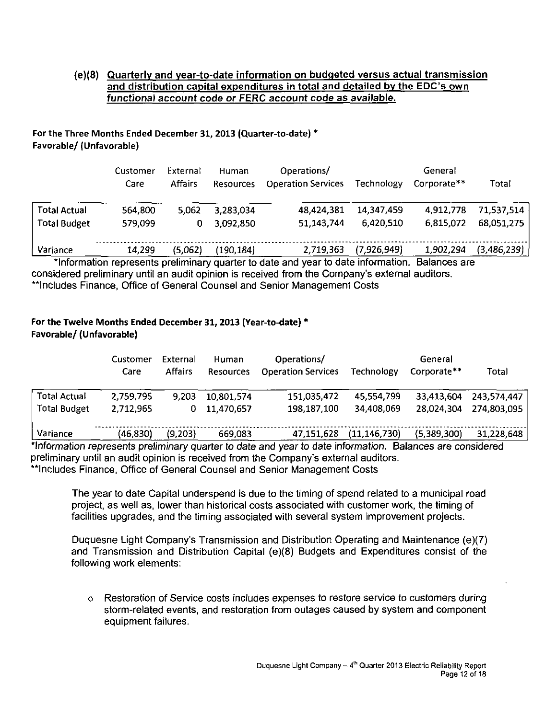#### (e)(8) Quarterly and year-to-date information on budgeted versus actual transmission and distribution capital expenditures in total and detailed by the EDC's own functional account code or FERC account code as available.

#### For the Three Months Ended December 31, 2013 (Quarter-to-date) \* Favorable/ (Unfavorable)

|                     | Customer<br>Care | External<br><b>Affairs</b> | Human<br><b>Resources</b> | Operations/<br><b>Operation Services</b> | Technology  | General<br>Corporate <sup>**</sup> | Total       |
|---------------------|------------------|----------------------------|---------------------------|------------------------------------------|-------------|------------------------------------|-------------|
| <b>Total Actual</b> | 564,800          | 5,062                      | 3,283,034                 | 48,424,381                               | 14,347,459  | 4,912,778                          | 71,537,514  |
| <b>Total Budget</b> | 579,099          | 0                          | 3.092,850                 | 51,143,744                               | 6,420,510   | 6,815,072                          | 68,051,275  |
| Variance            | 14,299           | (5,062)                    | (190, 184)                | 2,719,363                                | (7,926,949) | 1,902,294                          | (3,486,239) |

'Information represents preliminary quarter to date and year to date information. Balances are considered preliminary until an audit opinion is received from the Company's external auditors. \*\*Includes Finance, Office of General Counsel and Senior Management Costs

#### For the Twelve Months Ended December 31,2013 (Year-to-date) \* Favorable/ (Unfavorable)

| Customer<br>Care | External<br><b>Affairs</b> | Human<br><b>Resources</b> | Operations/<br><b>Operation Services</b> | Technology     | General<br>Corporate** | Total       |
|------------------|----------------------------|---------------------------|------------------------------------------|----------------|------------------------|-------------|
| 2,759,795        | 9,203                      | 10,801,574                | 151,035,472                              | 45,554,799     | 33,413,604             | 243,574,447 |
| 2,712,965        | 0                          | 11,470,657                | 198,187,100                              | 34,408,069     | 28,024,304             | 274,803.095 |
| (46,830)         | (9,203)                    | 669.083                   | 47,151,628                               | (11, 146, 730) | (5,389,300)            | 31,228,648  |
|                  |                            |                           |                                          |                |                        |             |

'Information represents preliminary quarter to date and year to date information. Balances are considered preliminary until an audit opinion is received from the Company's external auditors. \*\*Includes Finance, Office of General Counsel and Senior Management Costs

The year to date Capital underspend is due to the timing of spend related to a municipal road project, as well as, lower than historical costs associated with customer work, the timing of facilities upgrades, and the timing associated with several system improvement projects.

Duquesne Light Company's Transmission and Distribution Operating and Maintenance (e)(7) and Transmission and Distribution Capital (e)(8) Budgets and Expenditures consist of the following work elements:

o Restoration of Service costs includes expenses to restore service to customers during storm-related events, and restoration from outages caused by system and component equipment failures.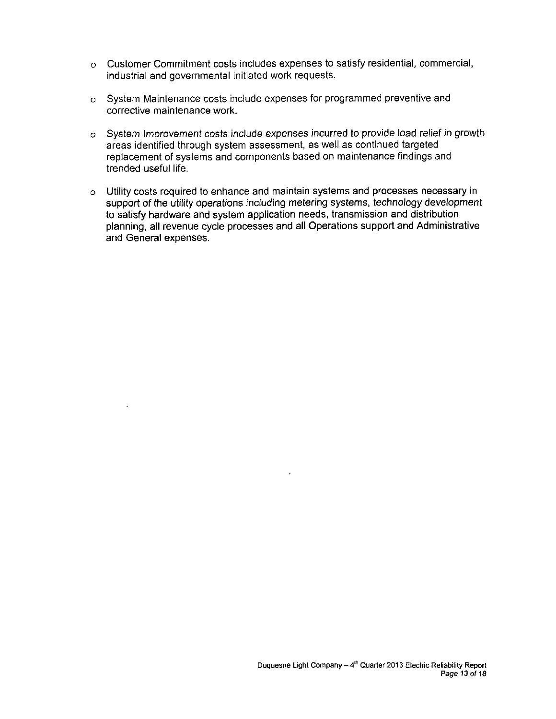- o Customer Commitment costs includes expenses to satisfy residential, commercial, industrial and governmental initiated work requests.
- o System Maintenance costs include expenses for programmed preventive and corrective maintenance work.
- o System Improvement costs include expenses incurred to provide load relief in growth areas identified through system assessment, as well as continued targeted replacement of systems and components based on maintenance findings and trended useful life.
- o Utility costs required to enhance and maintain systems and processes necessary in support of the utility operations including metering systems, technology development to satisfy hardware and system application needs, transmission and distribution planning, all revenue cycle processes and all Operations support and Administrative and General expenses.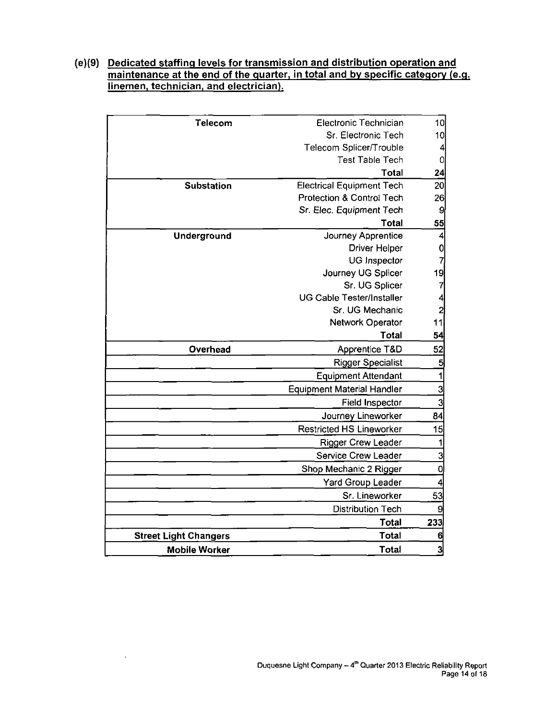#### **(e)(9) Dedicated staffing levels for transmission and distribution operation and maintenance at the end of the guarter, in total and by specific category (e.g. linemen, technician, and electrician).**

| Telecom                      | Electronic Technician             | 10                      |
|------------------------------|-----------------------------------|-------------------------|
|                              | Sr. Electronic Tech               | 10                      |
|                              | Telecom Splicer/Trouble           | $\boldsymbol{4}$        |
|                              | <b>Test Table Tech</b>            | $\overline{0}$          |
|                              | Total                             | 24                      |
| <b>Substation</b>            | <b>Electrical Equipment Tech</b>  | 20                      |
|                              | Protection & Control Tech         | 26                      |
|                              | Sr. Elec. Equipment Tech          | 9                       |
|                              | <b>Total</b>                      | <u>55</u>               |
| Underground                  | Journey Apprentice                | $\overline{\mathbf{r}}$ |
|                              | <b>Driver Helper</b>              | $\mathbf{0}$            |
|                              | UG Inspector                      | $\overline{7}$          |
|                              | Journey UG Splicer                | 19                      |
|                              | Sr. UG Splicer                    | $\overline{7}$          |
|                              | <b>UG Cable Tester/Installer</b>  | $\overline{4}$          |
|                              | Sr. UG Mechanic                   | $\overline{2}$          |
|                              | Network Operator                  | 11                      |
|                              | <b>Total</b>                      | 54                      |
| Overhead                     | Apprentice T&D                    | 52                      |
|                              | <b>Rigger Specialist</b>          | $\overline{\mathbf{5}}$ |
|                              | <b>Equipment Attendant</b>        | $\overline{\mathbf{1}}$ |
|                              | <b>Equipment Material Handler</b> | $\frac{3}{3}$           |
|                              | Field Inspector                   |                         |
|                              | Journey Lineworker                | 84                      |
|                              | <b>Restricted HS Lineworker</b>   | 15                      |
|                              | <b>Rigger Crew Leader</b>         | 1                       |
|                              | Service Crew Leader               | $\overline{3}$          |
|                              | Shop Mechanic 2 Rigger            | $\boldsymbol{0}$        |
|                              | <b>Yard Group Leader</b>          | 4                       |
|                              | Sr. Lineworker                    | 53                      |
|                              | <b>Distribution Tech</b>          | 9                       |
|                              | <b>Total</b>                      | 233                     |
| <b>Street Light Changers</b> | Total                             | 6                       |
| <b>Mobile Worker</b>         | Total                             | 3                       |
|                              |                                   |                         |

 $\ddot{\phantom{0}}$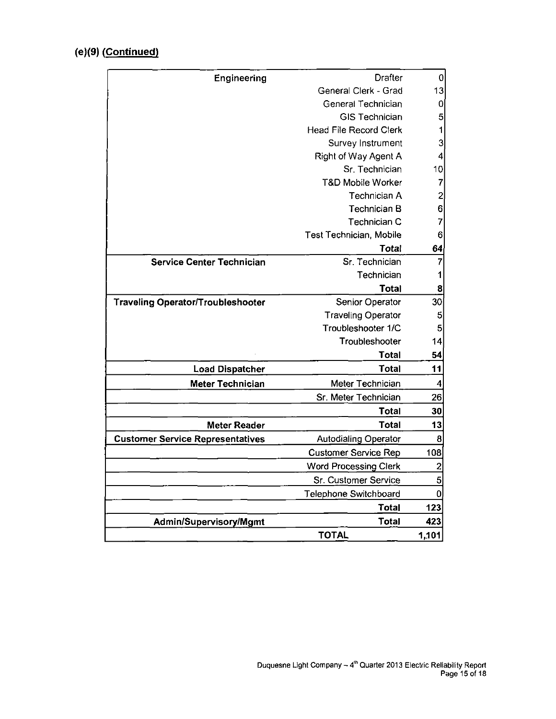## **(e)(9) (Continued)**

| Engineering                              | <b>Drafter</b>                 | 0                       |
|------------------------------------------|--------------------------------|-------------------------|
|                                          | General Clerk - Grad           | 13                      |
|                                          | General Technician             | 0                       |
|                                          | <b>GIS Technician</b>          | 5                       |
|                                          | <b>Head File Record Clerk</b>  | 1                       |
|                                          | Survey Instrument              | 3                       |
|                                          | Right of Way Agent A           | 4                       |
|                                          | Sr. Technician                 | 10                      |
|                                          | <b>T&amp;D Mobile Worker</b>   | 7                       |
|                                          | Technician A                   | $\overline{\mathbf{c}}$ |
|                                          | <b>Technician B</b>            | 6                       |
|                                          | Technician C                   | 7                       |
|                                          | <b>Test Technician, Mobile</b> | 6                       |
|                                          | Total                          | 64                      |
| <b>Service Center Technician</b>         | Sr. Technician                 | 7                       |
|                                          | Technician                     | 1                       |
|                                          | <b>Total</b>                   | 8                       |
| <b>Traveling Operator/Troubleshooter</b> | Senior Operator                | 30                      |
|                                          | <b>Traveling Operator</b>      | 5                       |
|                                          | Troubleshooter 1/C             | 5                       |
|                                          | Troubleshooter                 | 14                      |
|                                          | <b>Total</b>                   | 54                      |
| <b>Load Dispatcher</b>                   | <b>Total</b>                   | 11                      |
| <b>Meter Technician</b>                  | Meter Technician               | 4                       |
|                                          | Sr. Meter Technician           | 26                      |
|                                          | <b>Total</b>                   | 30                      |
| <b>Meter Reader</b>                      | <b>Total</b>                   | 13                      |
| <b>Customer Service Representatives</b>  | <b>Autodialing Operator</b>    | 8                       |
|                                          | <b>Customer Service Rep</b>    | 108                     |
|                                          | <b>Word Processing Clerk</b>   | $\overline{\mathbf{c}}$ |
|                                          | Sr. Customer Service           | 5                       |
|                                          | Telephone Switchboard          | $\overline{0}$          |
|                                          | <b>Total</b>                   | 123                     |
| Admin/Supervisory/Mgmt                   | <b>Total</b>                   | 423                     |
|                                          | <b>TOTAL</b>                   | 1,101                   |
|                                          |                                |                         |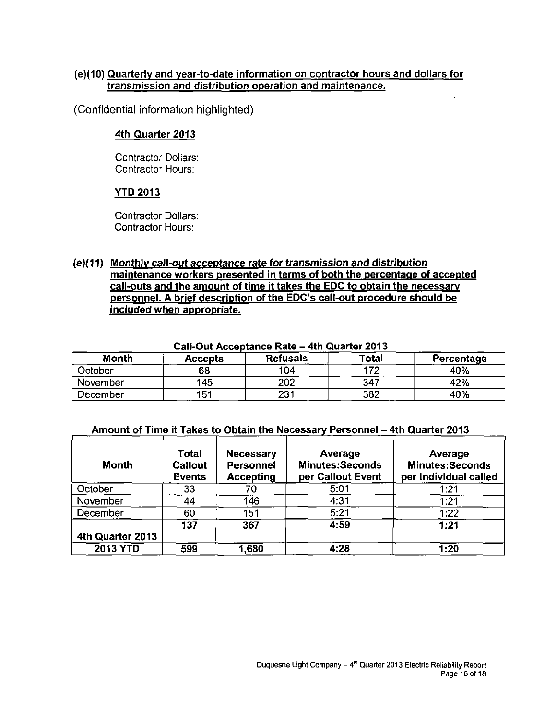#### **(e)(10) Quarterly and year-to-date information on contractor hours and dollars for transmission and distribution operation and maintenance.**

(Confidential information highlighted)

#### **4th Quarter 2013**

Contractor Dollars: Contractor Hours:

#### **YTD 2013**

Contractor Dollars: Contractor Hours:

#### **(e)(11) Monthly call-out acceptance rate for transmission and distribution maintenance workers presented in terms of both the percentage of accepted call-outs and the amount of time it takes the EDC to obtain the necessary personnel. A brief description of the EDC's call-out procedure should be included when appropriate.**

| .        |                |                 |       |            |  |  |  |  |  |
|----------|----------------|-----------------|-------|------------|--|--|--|--|--|
| Month    | <b>Accepts</b> | <b>Refusals</b> | Total | Percentage |  |  |  |  |  |
| October  | 68             | 104             | פי    | 40%        |  |  |  |  |  |
| November | 145            | 202             | 347   | 42%        |  |  |  |  |  |
| December | 151            | 231             | 382   | 40%        |  |  |  |  |  |

#### **Call-Out Acceptance Rate - 4th Quarter 2013**

#### **Amount of Time it Takes to Obtain the Necessary Personnel - 4th Quarter 2013**

| Month            | Total<br><b>Callout</b><br><b>Events</b> | <b>Necessary</b><br><b>Personnel</b><br><b>Accepting</b> | Average<br><b>Minutes:Seconds</b><br>per Callout Event | Average<br><b>Minutes:Seconds</b><br>per Individual called |
|------------------|------------------------------------------|----------------------------------------------------------|--------------------------------------------------------|------------------------------------------------------------|
| October          | 33                                       | 70                                                       | 5:01                                                   | 1:21                                                       |
| November         | 44                                       | 146                                                      | 4:31                                                   | 1:21                                                       |
| December         | 60                                       | 151                                                      | 5:21                                                   | 1:22                                                       |
|                  | 137                                      | 367                                                      | 4:59                                                   | 1:21                                                       |
| 4th Quarter 2013 |                                          |                                                          |                                                        |                                                            |
| <b>2013 YTD</b>  | 599                                      | 1,680                                                    | 4:28                                                   | 1:20                                                       |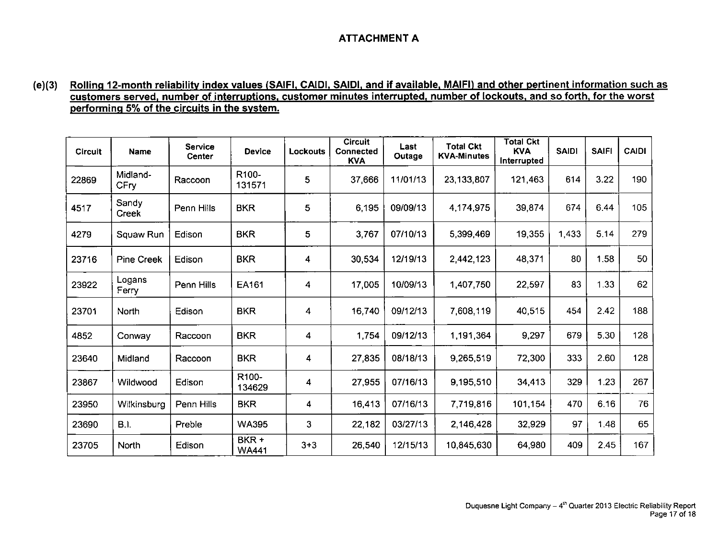#### **ATTACHMENT A**

#### **(e)(3) Rolling 12-month reliability index values (SAIFI, CAIDI, SAIDI. and if available, MAIFI) and other pertinent information such as customers served, number of interruptions, customer minutes interrupted, number of lockouts, and so forth, for the worst performing 5% of the circuits in the system.**

| <b>Circuit</b> | Name               | Service<br>Center | <b>Device</b>         | Lockouts | <b>Circuit</b><br><b>Connected</b><br><b>KVA</b> | Last<br>Outage | <b>Total Ckt</b><br><b>KVA-Minutes</b> | <b>Total Ckt</b><br><b>KVA</b><br>Interrupted | <b>SAIDI</b> | <b>SAIFI</b> | <b>CAIDI</b> |
|----------------|--------------------|-------------------|-----------------------|----------|--------------------------------------------------|----------------|----------------------------------------|-----------------------------------------------|--------------|--------------|--------------|
| 22869          | Midland-<br>CFry   | Raccoon           | R100-<br>131571       | 5        | 37,666                                           | 11/01/13       | 23,133,807                             | 121,463                                       | 614          | 3.22         | 190          |
| 4517           | Sandy<br>Creek     | Penn Hills        | <b>BKR</b>            | 5        | 6,195                                            | 09/09/13       | 4,174,975                              | 39,874                                        | 674          | 6.44         | 105          |
| 4279           | Squaw Run          | Edison            | <b>BKR</b>            | 5        | 3,767                                            | 07/10/13       | 5,399,469                              | 19,355                                        | 1,433        | 5.14         | 279          |
| 23716          | <b>Pine Creek</b>  | Edison            | <b>BKR</b>            | 4        | 30,534                                           | 12/19/13       | 2,442,123                              | 48,371                                        | 80           | 1.58         | 50           |
| 23922          | Logans<br>Ferry    | Penn Hills        | EA161                 | 4        | 17,005                                           | 10/09/13       | 1,407,750                              | 22,597                                        | 83           | 1.33         | 62           |
| 23701          | North              | Edison            | <b>BKR</b>            | 4        | 16,740                                           | 09/12/13       | 7,608,119                              | 40,515                                        | 454          | 2.42         | 188          |
| 4852           | Conway             | Raccoon           | <b>BKR</b>            | 4        | 1,754                                            | 09/12/13       | 1,191,364                              | 9,297                                         | 679          | 5.30         | 128          |
| 23640          | Midland            | Raccoon           | <b>BKR</b>            | 4        | 27,835                                           | 08/18/13       | 9,265,519                              | 72,300                                        | 333          | 2.60         | 128          |
| 23867          | Wildwood           | Edison            | R100-<br>134629       | 4        | 27.955                                           | 07/16/13       | 9,195,510                              | 34.413                                        | 329          | 1.23         | 267          |
| 23950          | <b>Wilkinsburg</b> | Penn Hills        | <b>BKR</b>            | 4        | 16,413                                           | 07/16/13       | 7,719,816                              | 101,154                                       | 470          | 6.16         | 76           |
| 23690          | B.I.               | Preble            | <b>WA395</b>          | 3        | 22,182                                           | 03/27/13       | 2,146,428                              | 32,929                                        | 97           | 1.48         | 65           |
| 23705          | North              | Edison            | BKR +<br><b>WA441</b> | $3 + 3$  | 26,540                                           | 12/15/13       | 10,845,630                             | 64,980                                        | 409          | 2.45         | 167          |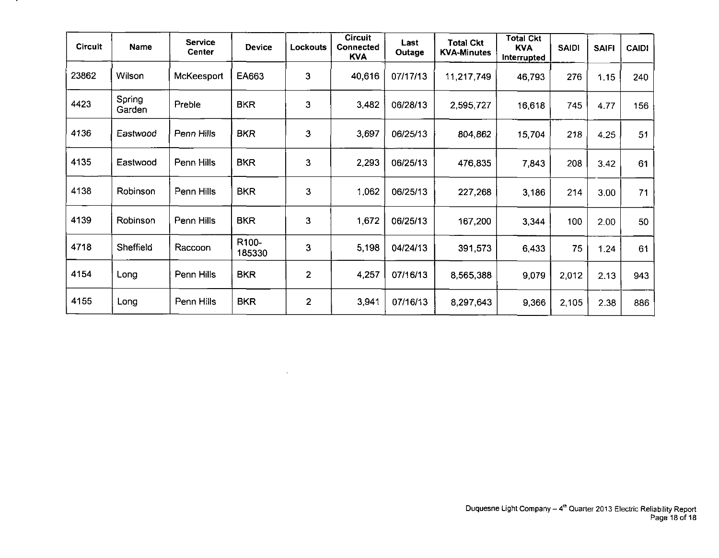| <b>Circuit</b> | Name             | <b>Service</b><br><b>Center</b> | Device          | <b>Lockouts</b> | <b>Circuit</b><br>Connected<br><b>KVA</b> | Last<br>Outage | <b>Total Ckt</b><br><b>KVA-Minutes</b> | <b>Total Ckt</b><br><b>KVA</b><br>Interrupted | <b>SAIDI</b> | <b>SAIFI</b> | <b>CAIDI</b> |
|----------------|------------------|---------------------------------|-----------------|-----------------|-------------------------------------------|----------------|----------------------------------------|-----------------------------------------------|--------------|--------------|--------------|
| 23862          | Wilson           | McKeesport                      | EA663           | $\mathbf{3}$    | 40,616                                    | 07/17/13       | 11,217,749                             | 46,793                                        | 276          | 1.15         | 240          |
| 4423           | Spring<br>Garden | Preble                          | <b>BKR</b>      | 3               | 3,482                                     | 06/28/13       | 2,595,727                              | 16,618                                        | 745          | 477          | 156          |
| 4136           | Eastwood         | Penn Hills                      | <b>BKR</b>      | 3               | 3,697                                     | 06/25/13       | 804,862                                | 15,704                                        | 218          | 4.25         | 51           |
| 4135           | Eastwood         | Penn Hills                      | <b>BKR</b>      | 3               | 2,293                                     | 06/25/13       | 476,835                                | 7.843                                         | 208          | 3.42         | 61           |
| 4138           | Robinson         | Penn Hills                      | <b>BKR</b>      | 3               | 1,062                                     | 06/25/13       | 227,268                                | 3,186                                         | 214          | 3.00         | 71           |
| 4139           | Robinson         | Penn Hills                      | <b>BKR</b>      | 3               | 1,672                                     | 06/25/13       | 167,200                                | 3.344                                         | 100          | 2.00         | 50           |
| 4718           | Sheffield        | Raccoon                         | R100-<br>185330 | 3               | 5,198                                     | 04/24/13       | 391,573                                | 6,433                                         | 75           | 1.24         | 61           |
| 4154           | Long             | Penn Hills                      | <b>BKR</b>      | $\overline{2}$  | 4,257                                     | 07/16/13       | 8,565,388                              | 9,079                                         | 2,012        | 2.13         | 943          |
| 4155           | Long             | Penn Hills                      | <b>BKR</b>      | $\overline{2}$  | 3,941                                     | 07/16/13       | 8,297,643                              | 9,366                                         | 2,105        | 2.38         | 886          |

 $\sim$ 

. .